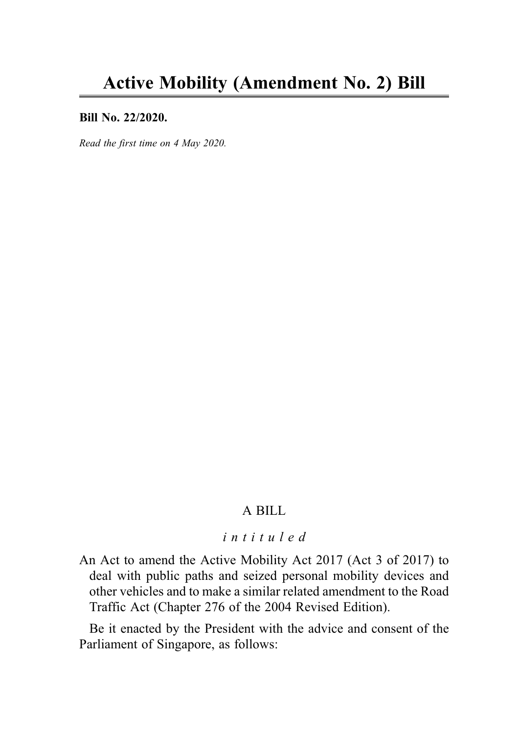#### Bill No. 22/2020.

Read the first time on 4 May 2020.

### A BILL

# intituled

An Act to amend the Active Mobility Act 2017 (Act 3 of 2017) to deal with public paths and seized personal mobility devices and other vehicles and to make a similar related amendment to the Road Traffic Act (Chapter 276 of the 2004 Revised Edition).

Be it enacted by the President with the advice and consent of the Parliament of Singapore, as follows: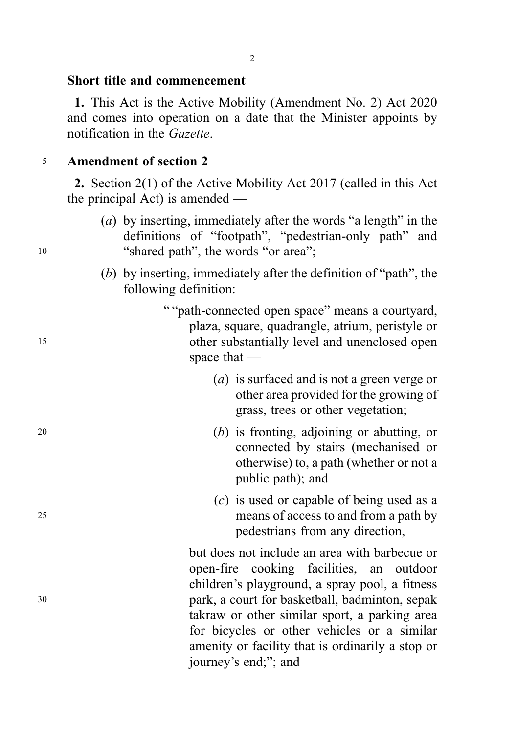#### Short title and commencement

1. This Act is the Active Mobility (Amendment No. 2) Act 2020 and comes into operation on a date that the Minister appoints by notification in the Gazette.

#### <sup>5</sup> Amendment of section 2

2. Section 2(1) of the Active Mobility Act 2017 (called in this Act the principal Act) is amended —

- (a) by inserting, immediately after the words "a length" in the definitions of "footpath", "pedestrian-only path" and <sup>10</sup> "shared path", the words "or area";
	- (b) by inserting, immediately after the definition of "path", the following definition:
- "" path-connected open space" means a courtyard, plaza, square, quadrangle, atrium, peristyle or <sup>15</sup> other substantially level and unenclosed open space that —
	- (a) is surfaced and is not a green verge or other area provided for the growing of grass, trees or other vegetation;
- <sup>20</sup> (b) is fronting, adjoining or abutting, or connected by stairs (mechanised or otherwise) to, a path (whether or not a public path); and
- (c) is used or capable of being used as a <sup>25</sup> means of access to and from a path by pedestrians from any direction,

but does not include an area with barbecue or open-fire cooking facilities, an outdoor children's playground, a spray pool, a fitness <sup>30</sup> park, a court for basketball, badminton, sepak takraw or other similar sport, a parking area for bicycles or other vehicles or a similar amenity or facility that is ordinarily a stop or journey's end;"; and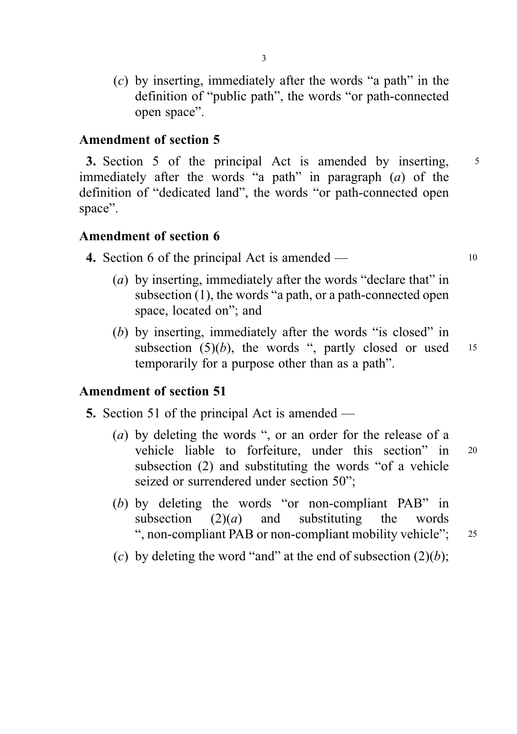(c) by inserting, immediately after the words "a path" in the definition of "public path", the words "or path-connected open space".

## Amendment of section 5

3. Section 5 of the principal Act is amended by inserting, <sup>5</sup> immediately after the words "a path" in paragraph  $(a)$  of the definition of "dedicated land", the words "or path-connected open space".

### Amendment of section 6

- **4.** Section 6 of the principal Act is amended  $10$ 
	- (a) by inserting, immediately after the words "declare that" in subsection (1), the words "a path, or a path-connected open space, located on"; and
	- (b) by inserting, immediately after the words "is closed" in subsection  $(5)(b)$ , the words ", partly closed or used 15 temporarily for a purpose other than as a path".

## Amendment of section 51

- 5. Section 51 of the principal Act is amended
	- (a) by deleting the words ", or an order for the release of a vehicle liable to forfeiture, under this section" in <sup>20</sup> subsection (2) and substituting the words "of a vehicle seized or surrendered under section 50";
	- (b) by deleting the words "or non-compliant PAB" in subsection  $(2)(a)$  and substituting the words ", non-compliant PAB or non-compliant mobility vehicle"; <sup>25</sup>
	- (c) by deleting the word "and" at the end of subsection  $(2)(b)$ ;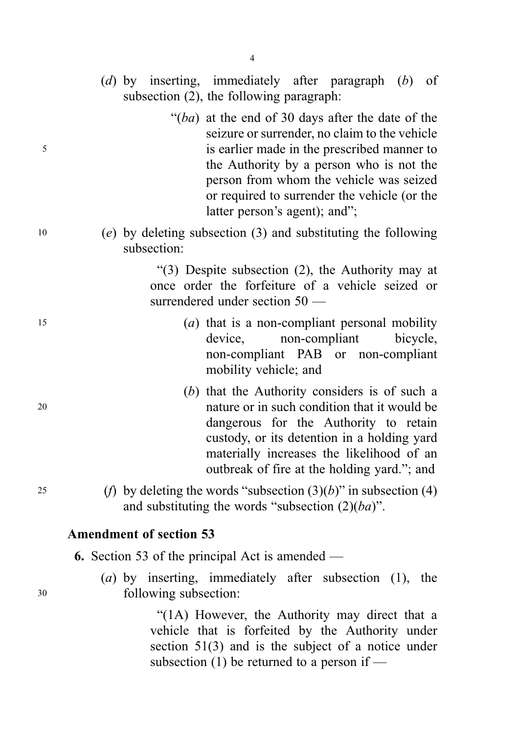- (d) by inserting, immediately after paragraph (b) of subsection (2), the following paragraph:
- " $(ba)$  at the end of 30 days after the date of the seizure or surrender, no claim to the vehicle <sup>5</sup> is earlier made in the prescribed manner to the Authority by a person who is not the person from whom the vehicle was seized or required to surrender the vehicle (or the latter person's agent); and";
- <sup>10</sup> (e) by deleting subsection (3) and substituting the following subsection:

"(3) Despite subsection (2), the Authority may at once order the forfeiture of a vehicle seized or surrendered under section 50 —

- $(a)$  that is a non-compliant personal mobility device, non-compliant bicycle, non-compliant PAB or non-compliant mobility vehicle; and
- (b) that the Authority considers is of such a <sup>20</sup> nature or in such condition that it would be dangerous for the Authority to retain custody, or its detention in a holding yard materially increases the likelihood of an outbreak of fire at the holding yard."; and
- 25 (*f*) by deleting the words "subsection  $(3)(b)$ " in subsection  $(4)$ and substituting the words "subsection  $(2)(ba)$ ".

#### Amendment of section 53

- 6. Section 53 of the principal Act is amended —
- (a) by inserting, immediately after subsection (1), the <sup>30</sup> following subsection:

"(1A) However, the Authority may direct that a vehicle that is forfeited by the Authority under section 51(3) and is the subject of a notice under subsection (1) be returned to a person if —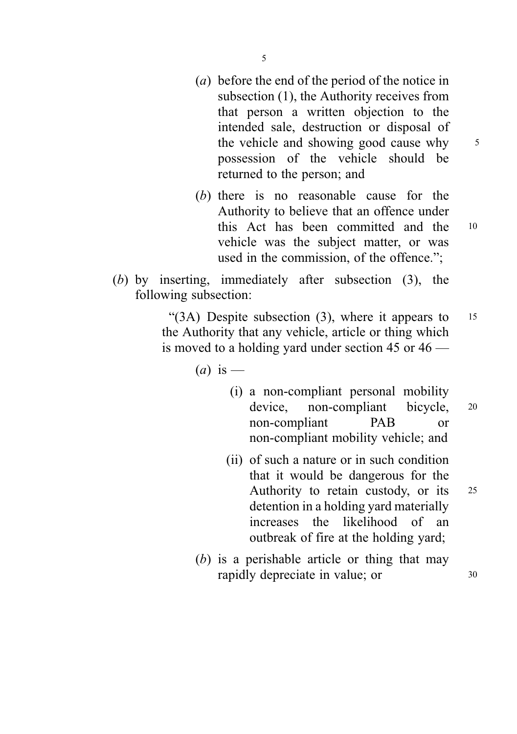- (a) before the end of the period of the notice in subsection (1), the Authority receives from that person a written objection to the intended sale, destruction or disposal of the vehicle and showing good cause why  $5$ possession of the vehicle should be returned to the person; and
- (b) there is no reasonable cause for the Authority to believe that an offence under this Act has been committed and the <sup>10</sup> vehicle was the subject matter, or was used in the commission, of the offence.";
- (b) by inserting, immediately after subsection (3), the following subsection:

" $(3A)$  Despite subsection  $(3)$ , where it appears to 15 the Authority that any vehicle, article or thing which is moved to a holding yard under section 45 or 46 —

 $(a)$  is —

- (i) a non-compliant personal mobility device, non-compliant bicycle, <sup>20</sup> non-compliant PAB or non-compliant mobility vehicle; and
- (ii) of such a nature or in such condition that it would be dangerous for the Authority to retain custody, or its <sup>25</sup> detention in a holding yard materially increases the likelihood of an outbreak of fire at the holding yard;
- (b) is a perishable article or thing that may rapidly depreciate in value; or  $30$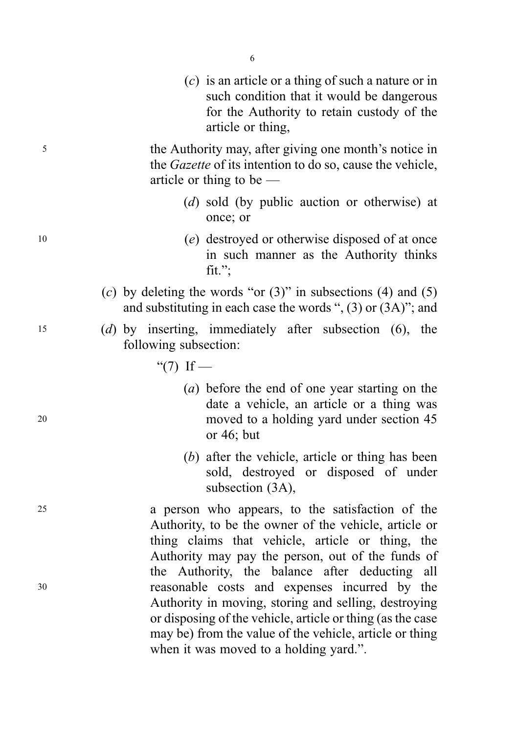|    | $(c)$ is an article or a thing of such a nature or in<br>such condition that it would be dangerous<br>for the Authority to retain custody of the<br>article or thing,                                                                                                      |
|----|----------------------------------------------------------------------------------------------------------------------------------------------------------------------------------------------------------------------------------------------------------------------------|
| 5  | the Authority may, after giving one month's notice in<br>the <i>Gazette</i> of its intention to do so, cause the vehicle,<br>article or thing to be $-$                                                                                                                    |
|    | (d) sold (by public auction or otherwise) at<br>once; or                                                                                                                                                                                                                   |
| 10 | (e) destroyed or otherwise disposed of at once<br>in such manner as the Authority thinks<br>fit.";                                                                                                                                                                         |
|    | (c) by deleting the words "or $(3)$ " in subsections $(4)$ and $(5)$<br>and substituting in each case the words " $(3)$ or $(3A)$ "; and                                                                                                                                   |
| 15 | (d) by inserting, immediately after subsection $(6)$ , the<br>following subsection:                                                                                                                                                                                        |
|    | "(7) If —                                                                                                                                                                                                                                                                  |
| 20 | (a) before the end of one year starting on the<br>date a vehicle, an article or a thing was<br>moved to a holding yard under section 45<br>or $46$ ; but                                                                                                                   |
|    | (b) after the vehicle, article or thing has been<br>sold, destroyed or disposed of under<br>subsection (3A),                                                                                                                                                               |
| 25 | a person who appears, to the satisfaction of the<br>Authority, to be the owner of the vehicle, article or<br>thing claims that vehicle, article or thing, the                                                                                                              |
| 30 | Authority may pay the person, out of the funds of<br>the Authority, the balance after deducting all<br>reasonable costs and expenses incurred by the<br>Authority in moving, storing and selling, destroying<br>or disposing of the vehicle, article or thing (as the case |

may be) from the value of the vehicle, article or thing

when it was moved to a holding yard.".

6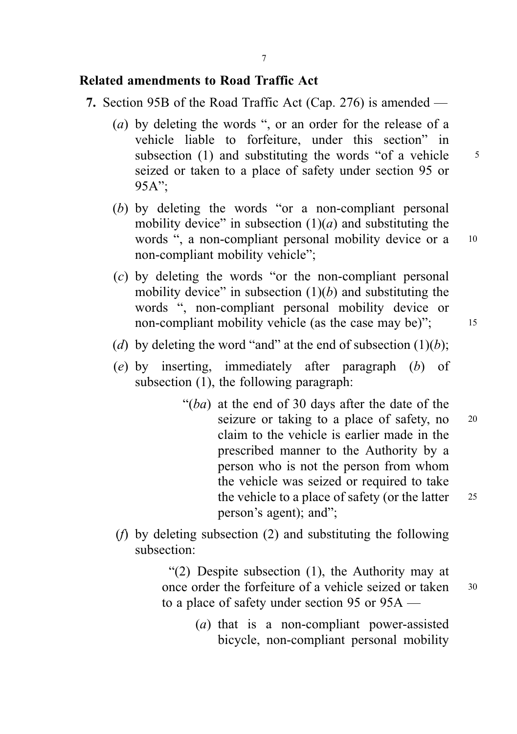## Related amendments to Road Traffic Act

- 7. Section 95B of the Road Traffic Act (Cap. 276) is amended
	- (a) by deleting the words ", or an order for the release of a vehicle liable to forfeiture, under this section" in subsection (1) and substituting the words "of a vehicle  $\frac{5}{5}$ seized or taken to a place of safety under section 95 or  $95A"$ :
	- (b) by deleting the words "or a non-compliant personal mobility device" in subsection  $(1)(a)$  and substituting the words ", a non-compliant personal mobility device or a 10 non-compliant mobility vehicle";
	- (c) by deleting the words "or the non-compliant personal mobility device" in subsection  $(1)(b)$  and substituting the words ", non-compliant personal mobility device or non-compliant mobility vehicle (as the case may be)"; 15
	- (d) by deleting the word "and" at the end of subsection  $(1)(b)$ ;
	- (e) by inserting, immediately after paragraph (b) of subsection (1), the following paragraph:
		- " $(ba)$  at the end of 30 days after the date of the seizure or taking to a place of safety, no 20 claim to the vehicle is earlier made in the prescribed manner to the Authority by a person who is not the person from whom the vehicle was seized or required to take the vehicle to a place of safety (or the latter  $25$ person's agent); and";
	- (f) by deleting subsection (2) and substituting the following subsection:

"(2) Despite subsection (1), the Authority may at once order the forfeiture of a vehicle seized or taken <sup>30</sup> to a place of safety under section 95 or 95A —

> (a) that is a non-compliant power-assisted bicycle, non-compliant personal mobility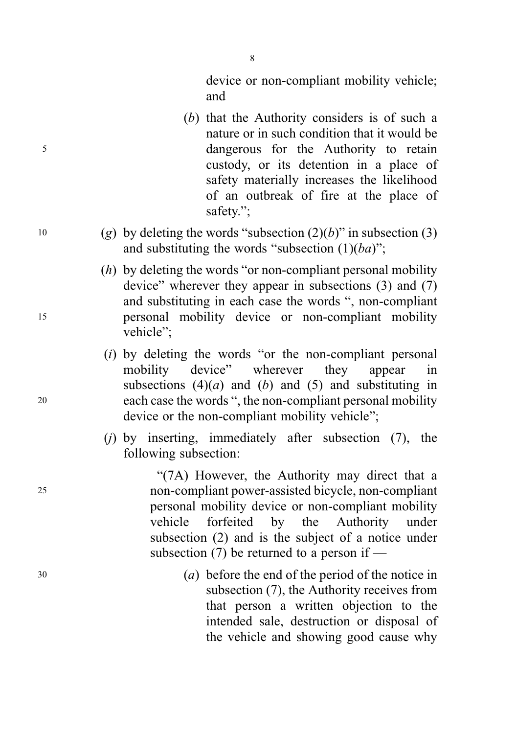device or non-compliant mobility vehicle; and

- (b) that the Authority considers is of such a nature or in such condition that it would be <sup>5</sup> dangerous for the Authority to retain custody, or its detention in a place of safety materially increases the likelihood of an outbreak of fire at the place of safety.";
- 10 (g) by deleting the words "subsection  $(2)(b)$ " in subsection (3) and substituting the words "subsection  $(1)(ba)$ ";
- $(h)$  by deleting the words "or non-compliant personal mobility device" wherever they appear in subsections (3) and (7) and substituting in each case the words ", non-compliant <sup>15</sup> personal mobility device or non-compliant mobility vehicle";
- $(i)$  by deleting the words "or the non-compliant personal mobility device" wherever they appear in subsections  $(4)(a)$  and  $(b)$  and  $(5)$  and substituting in <sup>20</sup> each case the words ", the non-compliant personal mobility device or the non-compliant mobility vehicle";
	- (i) by inserting, immediately after subsection  $(7)$ , the following subsection:

"(7A) However, the Authority may direct that a <sup>25</sup> non-compliant power-assisted bicycle, non-compliant personal mobility device or non-compliant mobility vehicle forfeited by the Authority under subsection (2) and is the subject of a notice under subsection (7) be returned to a person if —

<sup>30</sup> (a) before the end of the period of the notice in subsection (7), the Authority receives from that person a written objection to the intended sale, destruction or disposal of the vehicle and showing good cause why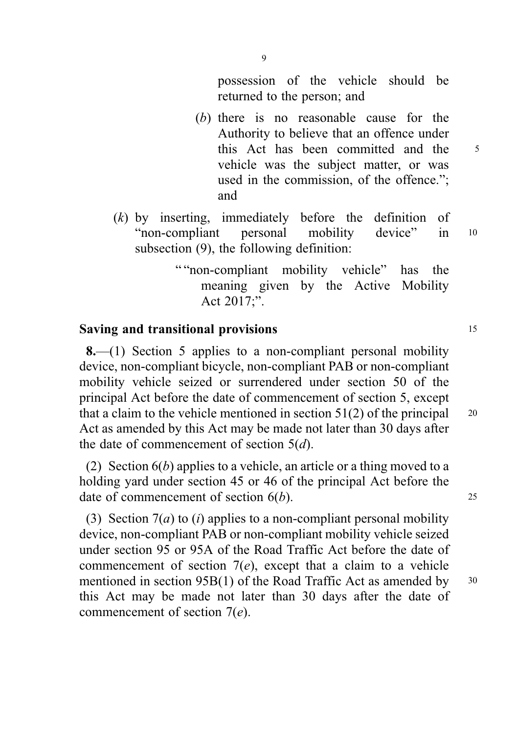- (b) there is no reasonable cause for the Authority to believe that an offence under this Act has been committed and the 5 vehicle was the subject matter, or was used in the commission, of the offence."; and
- (k) by inserting, immediately before the definition of "non-compliant personal mobility device" in <sup>10</sup> subsection (9), the following definition:

9

"" non-compliant mobility vehicle" has the meaning given by the Active Mobility Act 2017;".

## Saving and transitional provisions 15

8.—(1) Section 5 applies to a non-compliant personal mobility device, non-compliant bicycle, non-compliant PAB or non-compliant mobility vehicle seized or surrendered under section 50 of the principal Act before the date of commencement of section 5, except that a claim to the vehicle mentioned in section  $51(2)$  of the principal  $20$ Act as amended by this Act may be made not later than 30 days after the date of commencement of section  $5(d)$ .

(2) Section  $6(b)$  applies to a vehicle, an article or a thing moved to a holding yard under section 45 or 46 of the principal Act before the date of commencement of section  $6(b)$ . 25

(3) Section  $7(a)$  to *(i)* applies to a non-compliant personal mobility device, non-compliant PAB or non-compliant mobility vehicle seized under section 95 or 95A of the Road Traffic Act before the date of commencement of section  $7(e)$ , except that a claim to a vehicle mentioned in section 95B(1) of the Road Traffic Act as amended by 30 this Act may be made not later than 30 days after the date of commencement of section 7(e).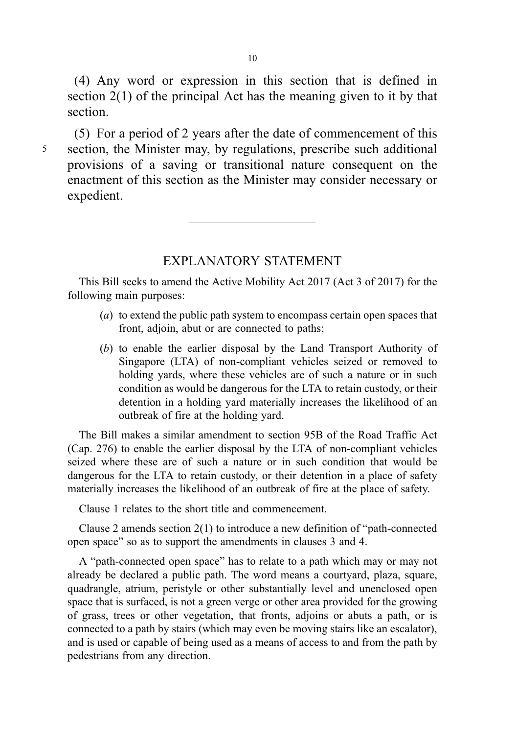(4) Any word or expression in this section that is defined in section 2(1) of the principal Act has the meaning given to it by that section.

(5) For a period of 2 years after the date of commencement of this <sup>5</sup> section, the Minister may, by regulations, prescribe such additional provisions of a saving or transitional nature consequent on the enactment of this section as the Minister may consider necessary or expedient.

### EXPLANATORY STATEMENT

This Bill seeks to amend the Active Mobility Act 2017 (Act 3 of 2017) for the following main purposes:

- (a) to extend the public path system to encompass certain open spaces that front, adjoin, abut or are connected to paths;
- (b) to enable the earlier disposal by the Land Transport Authority of Singapore (LTA) of non-compliant vehicles seized or removed to holding yards, where these vehicles are of such a nature or in such condition as would be dangerous for the LTA to retain custody, or their detention in a holding yard materially increases the likelihood of an outbreak of fire at the holding yard.

The Bill makes a similar amendment to section 95B of the Road Traffic Act (Cap. 276) to enable the earlier disposal by the LTA of non-compliant vehicles seized where these are of such a nature or in such condition that would be dangerous for the LTA to retain custody, or their detention in a place of safety materially increases the likelihood of an outbreak of fire at the place of safety.

Clause 1 relates to the short title and commencement.

Clause 2 amends section 2(1) to introduce a new definition of "path-connected open space" so as to support the amendments in clauses 3 and 4.

A "path-connected open space" has to relate to a path which may or may not already be declared a public path. The word means a courtyard, plaza, square, quadrangle, atrium, peristyle or other substantially level and unenclosed open space that is surfaced, is not a green verge or other area provided for the growing of grass, trees or other vegetation, that fronts, adjoins or abuts a path, or is connected to a path by stairs (which may even be moving stairs like an escalator), and is used or capable of being used as a means of access to and from the path by pedestrians from any direction.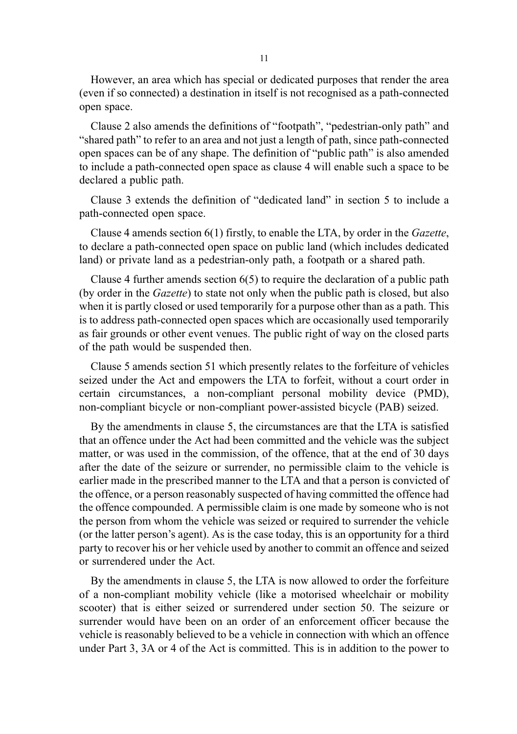However, an area which has special or dedicated purposes that render the area (even if so connected) a destination in itself is not recognised as a path-connected open space.

Clause 2 also amends the definitions of "footpath", "pedestrian-only path" and "shared path" to refer to an area and not just a length of path, since path-connected open spaces can be of any shape. The definition of "public path" is also amended to include a path-connected open space as clause 4 will enable such a space to be declared a public path.

Clause 3 extends the definition of "dedicated land" in section 5 to include a path-connected open space.

Clause 4 amends section 6(1) firstly, to enable the LTA, by order in the Gazette, to declare a path-connected open space on public land (which includes dedicated land) or private land as a pedestrian-only path, a footpath or a shared path.

Clause 4 further amends section 6(5) to require the declaration of a public path (by order in the Gazette) to state not only when the public path is closed, but also when it is partly closed or used temporarily for a purpose other than as a path. This is to address path-connected open spaces which are occasionally used temporarily as fair grounds or other event venues. The public right of way on the closed parts of the path would be suspended then.

Clause 5 amends section 51 which presently relates to the forfeiture of vehicles seized under the Act and empowers the LTA to forfeit, without a court order in certain circumstances, a non-compliant personal mobility device (PMD), non-compliant bicycle or non-compliant power-assisted bicycle (PAB) seized.

By the amendments in clause 5, the circumstances are that the LTA is satisfied that an offence under the Act had been committed and the vehicle was the subject matter, or was used in the commission, of the offence, that at the end of 30 days after the date of the seizure or surrender, no permissible claim to the vehicle is earlier made in the prescribed manner to the LTA and that a person is convicted of the offence, or a person reasonably suspected of having committed the offence had the offence compounded. A permissible claim is one made by someone who is not the person from whom the vehicle was seized or required to surrender the vehicle (or the latter person's agent). As is the case today, this is an opportunity for a third party to recover his or her vehicle used by another to commit an offence and seized or surrendered under the Act.

By the amendments in clause 5, the LTA is now allowed to order the forfeiture of a non-compliant mobility vehicle (like a motorised wheelchair or mobility scooter) that is either seized or surrendered under section 50. The seizure or surrender would have been on an order of an enforcement officer because the vehicle is reasonably believed to be a vehicle in connection with which an offence under Part 3, 3A or 4 of the Act is committed. This is in addition to the power to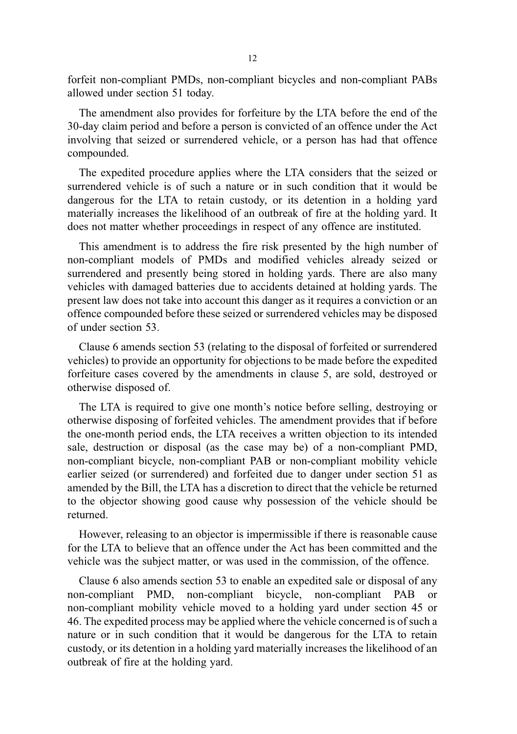forfeit non-compliant PMDs, non-compliant bicycles and non-compliant PABs allowed under section 51 today.

The amendment also provides for forfeiture by the LTA before the end of the 30-day claim period and before a person is convicted of an offence under the Act involving that seized or surrendered vehicle, or a person has had that offence compounded.

The expedited procedure applies where the LTA considers that the seized or surrendered vehicle is of such a nature or in such condition that it would be dangerous for the LTA to retain custody, or its detention in a holding yard materially increases the likelihood of an outbreak of fire at the holding yard. It does not matter whether proceedings in respect of any offence are instituted.

This amendment is to address the fire risk presented by the high number of non-compliant models of PMDs and modified vehicles already seized or surrendered and presently being stored in holding yards. There are also many vehicles with damaged batteries due to accidents detained at holding yards. The present law does not take into account this danger as it requires a conviction or an offence compounded before these seized or surrendered vehicles may be disposed of under section 53.

Clause 6 amends section 53 (relating to the disposal of forfeited or surrendered vehicles) to provide an opportunity for objections to be made before the expedited forfeiture cases covered by the amendments in clause 5, are sold, destroyed or otherwise disposed of.

The LTA is required to give one month's notice before selling, destroying or otherwise disposing of forfeited vehicles. The amendment provides that if before the one-month period ends, the LTA receives a written objection to its intended sale, destruction or disposal (as the case may be) of a non-compliant PMD, non-compliant bicycle, non-compliant PAB or non-compliant mobility vehicle earlier seized (or surrendered) and forfeited due to danger under section 51 as amended by the Bill, the LTA has a discretion to direct that the vehicle be returned to the objector showing good cause why possession of the vehicle should be returned.

However, releasing to an objector is impermissible if there is reasonable cause for the LTA to believe that an offence under the Act has been committed and the vehicle was the subject matter, or was used in the commission, of the offence.

Clause 6 also amends section 53 to enable an expedited sale or disposal of any non-compliant PMD, non-compliant bicycle, non-compliant PAB non-compliant mobility vehicle moved to a holding yard under section 45 or 46. The expedited process may be applied where the vehicle concerned is of such a nature or in such condition that it would be dangerous for the LTA to retain custody, or its detention in a holding yard materially increases the likelihood of an outbreak of fire at the holding yard.